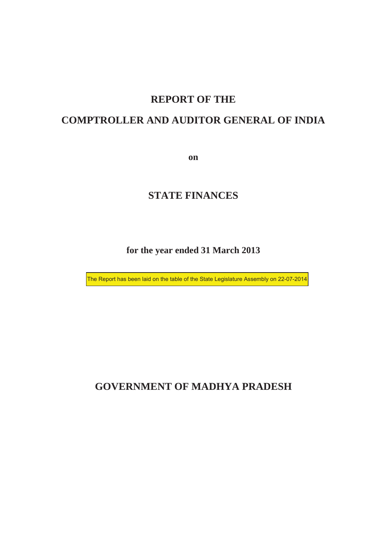## **REPORT OF THE**

## **COMPTROLLER AND AUDITOR GENERAL OF INDIA**

**on**

### **STATE FINANCES**

#### **for the year ended 31 March 2013**

The Report has been laid on the table of the State Legislature Assembly on 22-07-2014

## **GOVERNMENT OF MADHYA PRADESH**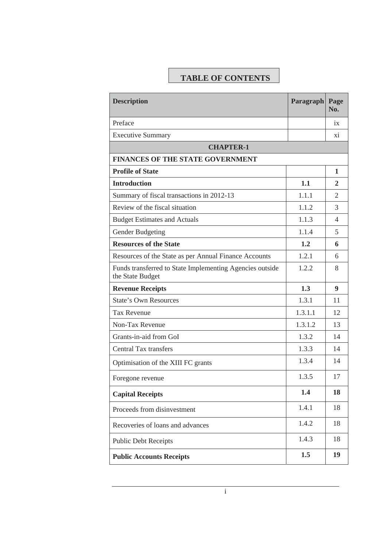# **TABLE OF CONTENTS**

| <b>Description</b>                                                           | Paragraph Page | No.            |
|------------------------------------------------------------------------------|----------------|----------------|
| Preface                                                                      |                | ix             |
| <b>Executive Summary</b>                                                     |                | X1             |
| <b>CHAPTER-1</b>                                                             |                |                |
| <b>FINANCES OF THE STATE GOVERNMENT</b>                                      |                |                |
| <b>Profile of State</b>                                                      |                | 1              |
| <b>Introduction</b>                                                          | 1.1            | 2              |
| Summary of fiscal transactions in 2012-13                                    | 1.1.1          | $\overline{2}$ |
| Review of the fiscal situation                                               | 1.1.2          | 3              |
| <b>Budget Estimates and Actuals</b>                                          | 1.1.3          | 4              |
| <b>Gender Budgeting</b>                                                      | 1.1.4          | 5              |
| <b>Resources of the State</b>                                                | 1.2            | 6              |
| Resources of the State as per Annual Finance Accounts                        | 1.2.1          | 6              |
| Funds transferred to State Implementing Agencies outside<br>the State Budget | 1.2.2          | 8              |
| <b>Revenue Receipts</b>                                                      | 1.3            | 9              |
| <b>State's Own Resources</b>                                                 | 1.3.1          | 11             |
| <b>Tax Revenue</b>                                                           | 1.3.1.1        | 12             |
| Non-Tax Revenue                                                              | 1.3.1.2        | 13             |
| Grants-in-aid from GoI                                                       | 1.3.2          | 14             |
| <b>Central Tax transfers</b>                                                 | 1.3.3          | 14             |
| Optimisation of the XIII FC grants                                           | 1.3.4          | 14             |
| Foregone revenue                                                             | 1.3.5          | 17             |
| <b>Capital Receipts</b>                                                      | 1.4            | 18             |
| Proceeds from disinvestment                                                  | 1.4.1          | 18             |
| Recoveries of loans and advances                                             | 1.4.2          | 18             |
| <b>Public Debt Receipts</b>                                                  | 1.4.3          | 18             |
| <b>Public Accounts Receipts</b>                                              | 1.5            | 19             |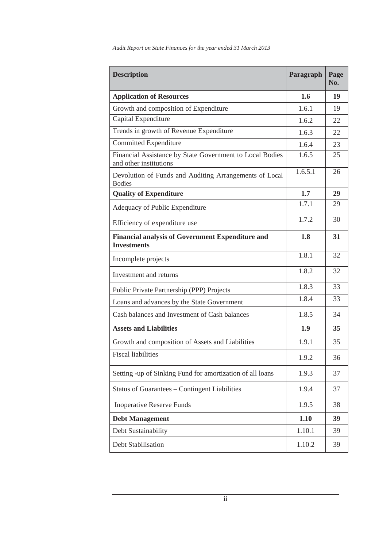| <b>Description</b>                                                                 | Paragraph | Page<br>No. |
|------------------------------------------------------------------------------------|-----------|-------------|
| <b>Application of Resources</b>                                                    | 1.6       | 19          |
| Growth and composition of Expenditure                                              | 1.6.1     | 19          |
| Capital Expenditure                                                                | 1.6.2     | 22          |
| Trends in growth of Revenue Expenditure                                            | 1.6.3     | 22          |
| <b>Committed Expenditure</b>                                                       | 1.6.4     | 23          |
| Financial Assistance by State Government to Local Bodies<br>and other institutions | 1.6.5     | 25          |
| Devolution of Funds and Auditing Arrangements of Local<br><b>Bodies</b>            | 1.6.5.1   | 26          |
| <b>Quality of Expenditure</b>                                                      | 1.7       | 29          |
| Adequacy of Public Expenditure                                                     | 1.7.1     | 29          |
| Efficiency of expenditure use                                                      | 1.7.2     | 30          |
| <b>Financial analysis of Government Expenditure and</b><br><b>Investments</b>      | 1.8       | 31          |
| Incomplete projects                                                                | 1.8.1     | 32          |
| Investment and returns                                                             | 1.8.2     | 32          |
| Public Private Partnership (PPP) Projects                                          | 1.8.3     | 33          |
| Loans and advances by the State Government                                         | 1.8.4     | 33          |
| Cash balances and Investment of Cash balances                                      | 1.8.5     | 34          |
| <b>Assets and Liabilities</b>                                                      | 1.9       | 35          |
| Growth and composition of Assets and Liabilities                                   | 1.9.1     | 35          |
| <b>Fiscal liabilities</b>                                                          | 1.9.2     | 36          |
| Setting -up of Sinking Fund for amortization of all loans                          | 1.9.3     | 37          |
| <b>Status of Guarantees – Contingent Liabilities</b>                               | 1.9.4     | 37          |
| <b>Inoperative Reserve Funds</b>                                                   | 1.9.5     | 38          |
| <b>Debt Management</b>                                                             | 1.10      | 39          |
| Debt Sustainability                                                                | 1.10.1    | 39          |
| Debt Stabilisation                                                                 | 1.10.2    | 39          |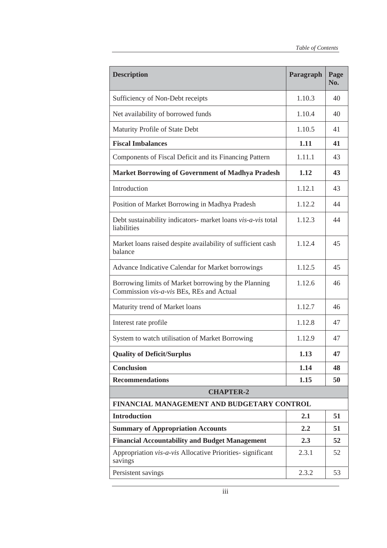| <b>Description</b>                                                                               | Paragraph | Page<br>No. |  |
|--------------------------------------------------------------------------------------------------|-----------|-------------|--|
| Sufficiency of Non-Debt receipts                                                                 | 1.10.3    | 40          |  |
| Net availability of borrowed funds                                                               | 1.10.4    | 40          |  |
| Maturity Profile of State Debt                                                                   | 1.10.5    | 41          |  |
| <b>Fiscal Imbalances</b>                                                                         | 1.11      | 41          |  |
| Components of Fiscal Deficit and its Financing Pattern                                           | 1.11.1    | 43          |  |
| <b>Market Borrowing of Government of Madhya Pradesh</b>                                          | 1.12      | 43          |  |
| Introduction                                                                                     | 1.12.1    | 43          |  |
| Position of Market Borrowing in Madhya Pradesh                                                   | 1.12.2    | 44          |  |
| Debt sustainability indicators- market loans vis-a-vis total<br>liabilities                      | 1.12.3    | 44          |  |
| Market loans raised despite availability of sufficient cash<br>balance                           | 1.12.4    | 45          |  |
| Advance Indicative Calendar for Market borrowings                                                | 1.12.5    | 45          |  |
| Borrowing limits of Market borrowing by the Planning<br>Commission vis-a-vis BEs, REs and Actual | 1.12.6    | 46          |  |
| Maturity trend of Market loans                                                                   | 1.12.7    | 46          |  |
| Interest rate profile                                                                            | 1.12.8    | 47          |  |
| System to watch utilisation of Market Borrowing                                                  | 1.12.9    | 47          |  |
| <b>Quality of Deficit/Surplus</b>                                                                | 1.13      | 47          |  |
| <b>Conclusion</b>                                                                                | 1.14      | 48          |  |
| <b>Recommendations</b>                                                                           | 1.15      | 50          |  |
| <b>CHAPTER-2</b>                                                                                 |           |             |  |
| FINANCIAL MANAGEMENT AND BUDGETARY CONTROL                                                       |           |             |  |
| <b>Introduction</b>                                                                              | 2.1       | 51          |  |
| <b>Summary of Appropriation Accounts</b>                                                         | 2.2       | 51          |  |
| <b>Financial Accountability and Budget Management</b>                                            | 2.3       | 52          |  |
| Appropriation vis-a-vis Allocative Priorities- significant<br>savings                            | 2.3.1     | 52          |  |
| Persistent savings                                                                               | 2.3.2     | 53          |  |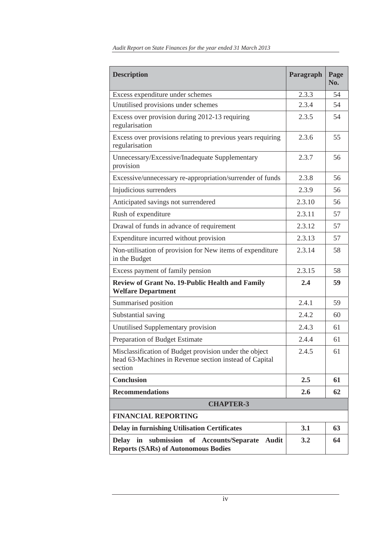| <b>Description</b>                                                                                                          | Paragraph | Page<br>No. |  |
|-----------------------------------------------------------------------------------------------------------------------------|-----------|-------------|--|
| Excess expenditure under schemes                                                                                            | 2.3.3     | 54          |  |
| Unutilised provisions under schemes                                                                                         | 2.3.4     | 54          |  |
| Excess over provision during 2012-13 requiring<br>regularisation                                                            | 2.3.5     | 54          |  |
| Excess over provisions relating to previous years requiring<br>regularisation                                               | 2.3.6     | 55          |  |
| Unnecessary/Excessive/Inadequate Supplementary<br>provision                                                                 | 2.3.7     | 56          |  |
| Excessive/unnecessary re-appropriation/surrender of funds                                                                   | 2.3.8     | 56          |  |
| Injudicious surrenders                                                                                                      | 2.3.9     | 56          |  |
| Anticipated savings not surrendered                                                                                         | 2.3.10    | 56          |  |
| Rush of expenditure                                                                                                         | 2.3.11    | 57          |  |
| Drawal of funds in advance of requirement                                                                                   | 2.3.12    | 57          |  |
| Expenditure incurred without provision                                                                                      | 2.3.13    | 57          |  |
| Non-utilisation of provision for New items of expenditure<br>in the Budget                                                  | 2.3.14    | 58          |  |
| Excess payment of family pension                                                                                            | 2.3.15    | 58          |  |
| Review of Grant No. 19-Public Health and Family<br><b>Welfare Department</b>                                                | 2.4       | 59          |  |
| Summarised position                                                                                                         | 2.4.1     | 59          |  |
| Substantial saving                                                                                                          | 2.4.2     | 60          |  |
| Unutilised Supplementary provision                                                                                          | 2.4.3     | 61          |  |
| Preparation of Budget Estimate                                                                                              | 2.4.4     | 61          |  |
| Misclassification of Budget provision under the object<br>head 63-Machines in Revenue section instead of Capital<br>section | 2.4.5     | 61          |  |
| <b>Conclusion</b>                                                                                                           | 2.5       | 61          |  |
| <b>Recommendations</b>                                                                                                      | 2.6       | 62          |  |
| <b>CHAPTER-3</b>                                                                                                            |           |             |  |
| <b>FINANCIAL REPORTING</b>                                                                                                  |           |             |  |
| <b>Delay in furnishing Utilisation Certificates</b>                                                                         | 3.1       | 63          |  |
| Delay in submission of Accounts/Separate<br>Audit<br><b>Reports (SARs) of Autonomous Bodies</b>                             | 3.2       | 64          |  |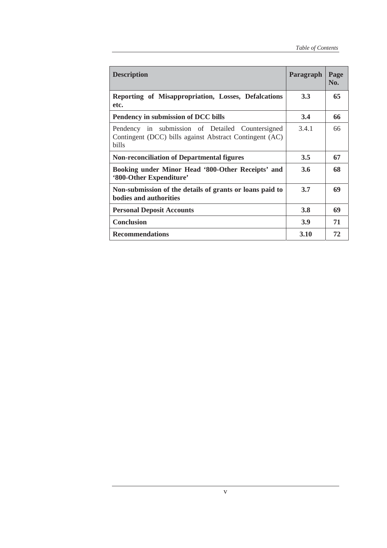| <b>Description</b>                                                                                                   | Paragraph     | Page<br>No. |
|----------------------------------------------------------------------------------------------------------------------|---------------|-------------|
| Reporting of Misappropriation, Losses, Defalcations<br>etc.                                                          | 3.3           | 65          |
| Pendency in submission of DCC bills                                                                                  | 3.4           | 66          |
| Pendency in submission of Detailed Countersigned<br>Contingent (DCC) bills against Abstract Contingent (AC)<br>bills | 3.4.1         | 66          |
| <b>Non-reconciliation of Departmental figures</b>                                                                    | $3.5^{\circ}$ | 67          |
| Booking under Minor Head '800-Other Receipts' and<br>'800-Other Expenditure'                                         | 3.6           | 68          |
| Non-submission of the details of grants or loans paid to<br><b>bodies and authorities</b>                            | 3.7           | 69          |
| <b>Personal Deposit Accounts</b>                                                                                     | <b>3.8</b>    | 69          |
| <b>Conclusion</b>                                                                                                    | <b>3.9</b>    | 71          |
| <b>Recommendations</b>                                                                                               | 3.10          | 72          |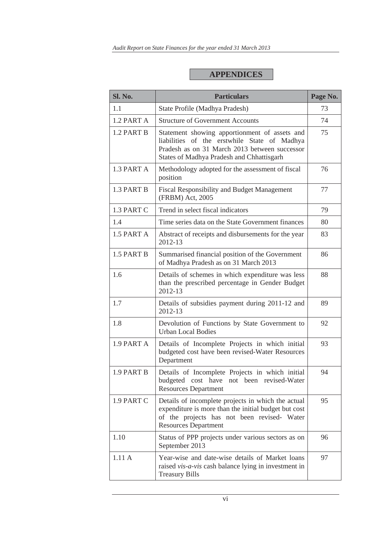#### **APPENDICES**

| Sl. No.    | <b>Particulars</b>                                                                                                                                                                          | Page No. |
|------------|---------------------------------------------------------------------------------------------------------------------------------------------------------------------------------------------|----------|
| 1.1        | State Profile (Madhya Pradesh)                                                                                                                                                              | 73       |
| 1.2 PART A | <b>Structure of Government Accounts</b>                                                                                                                                                     | 74       |
| 1.2 PART B | Statement showing apportionment of assets and<br>liabilities of the erstwhile State of Madhya<br>Pradesh as on 31 March 2013 between successor<br>States of Madhya Pradesh and Chhattisgarh | 75       |
| 1.3 PART A | Methodology adopted for the assessment of fiscal<br>position                                                                                                                                | 76       |
| 1.3 PART B | <b>Fiscal Responsibility and Budget Management</b><br>(FRBM) Act, 2005                                                                                                                      | 77       |
| 1.3 PART C | Trend in select fiscal indicators                                                                                                                                                           | 79       |
| 1.4        | Time series data on the State Government finances                                                                                                                                           | 80       |
| 1.5 PART A | Abstract of receipts and disbursements for the year<br>2012-13                                                                                                                              | 83       |
| 1.5 PART B | Summarised financial position of the Government<br>of Madhya Pradesh as on 31 March 2013                                                                                                    | 86       |
| 1.6        | Details of schemes in which expenditure was less<br>than the prescribed percentage in Gender Budget<br>2012-13                                                                              | 88       |
| 1.7        | Details of subsidies payment during 2011-12 and<br>2012-13                                                                                                                                  | 89       |
| 1.8        | Devolution of Functions by State Government to<br><b>Urban Local Bodies</b>                                                                                                                 | 92       |
| 1.9 PART A | Details of Incomplete Projects in which initial<br>budgeted cost have been revised-Water Resources<br>Department                                                                            | 93       |
| 1.9 PART B | Details of Incomplete Projects in which initial<br>budgeted cost have not been revised-Water<br><b>Resources Department</b>                                                                 | 94       |
| 1.9 PART C | Details of incomplete projects in which the actual<br>expenditure is more than the initial budget but cost<br>of the projects has not been revised- Water<br><b>Resources Department</b>    | 95       |
| 1.10       | Status of PPP projects under various sectors as on<br>September 2013                                                                                                                        | 96       |
| 1.11A      | Year-wise and date-wise details of Market loans<br>raised vis-a-vis cash balance lying in investment in<br><b>Treasury Bills</b>                                                            | 97       |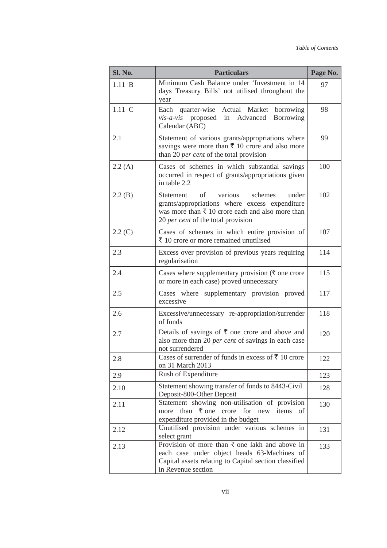| Sl. No. | <b>Particulars</b>                                                                                                                                                                                           | Page No. |
|---------|--------------------------------------------------------------------------------------------------------------------------------------------------------------------------------------------------------------|----------|
| 1.11 B  | Minimum Cash Balance under 'Investment in 14<br>days Treasury Bills' not utilised throughout the<br>year                                                                                                     | 97       |
| 1.11 C  | Each quarter-wise Actual Market<br>borrowing<br>vis-a-vis proposed in Advanced<br>Borrowing<br>Calendar (ABC)                                                                                                | 98       |
| 2.1     | Statement of various grants/appropriations where<br>savings were more than $\bar{\tau}$ 10 crore and also more<br>than 20 per cent of the total provision                                                    | 99       |
| 2.2(A)  | Cases of schemes in which substantial savings<br>occurred in respect of grants/appropriations given<br>in table 2.2                                                                                          | 100      |
| 2.2(B)  | various<br>schemes<br><b>Statement</b><br>of<br>under<br>grants/appropriations where excess expenditure<br>was more than $\bar{\tau}$ 10 crore each and also more than<br>20 per cent of the total provision | 102      |
| 2.2(C)  | Cases of schemes in which entire provision of<br>$\bar{\tau}$ 10 crore or more remained unutilised                                                                                                           | 107      |
| 2.3     | Excess over provision of previous years requiring<br>regularisation                                                                                                                                          | 114      |
| 2.4     | Cases where supplementary provision ( $\bar{\tau}$ one crore<br>or more in each case) proved unnecessary                                                                                                     | 115      |
| 2.5     | Cases where supplementary provision proved<br>excessive                                                                                                                                                      | 117      |
| 2.6     | Excessive/unnecessary re-appropriation/surrender<br>of funds                                                                                                                                                 | 118      |
| 2.7     | Details of savings of $\bar{\tau}$ one crore and above and<br>also more than 20 per cent of savings in each case<br>not surrendered                                                                          | 120      |
| 2.8     | Cases of surrender of funds in excess of $\bar{z}$ 10 crore<br>on 31 March 2013                                                                                                                              | 122      |
| 2.9     | Rush of Expenditure                                                                                                                                                                                          | 123      |
| 2.10    | Statement showing transfer of funds to 8443-Civil<br>Deposit-800-Other Deposit                                                                                                                               | 128      |
| 2.11    | Statement showing non-utilisation of provision<br>more than $\bar{\tau}$ one crore for new items of<br>expenditure provided in the budget                                                                    | 130      |
| 2.12    | Unutilised provision under various schemes in<br>select grant                                                                                                                                                | 131      |
| 2.13    | Provision of more than $\bar{\tau}$ one lakh and above in<br>each case under object heads 63-Machines of<br>Capital assets relating to Capital section classified<br>in Revenue section                      | 133      |